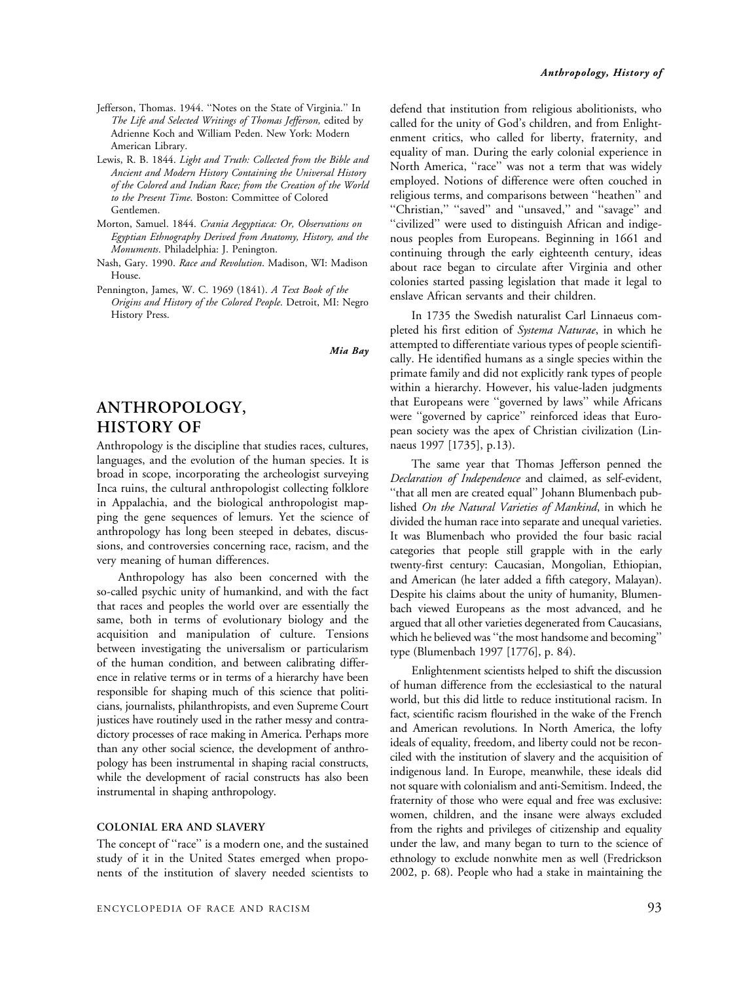- Jefferson, Thomas. 1944. ''Notes on the State of Virginia.'' In The Life and Selected Writings of Thomas Jefferson, edited by Adrienne Koch and William Peden. New York: Modern American Library.
- Lewis, R. B. 1844. Light and Truth: Collected from the Bible and Ancient and Modern History Containing the Universal History of the Colored and Indian Race; from the Creation of the World to the Present Time. Boston: Committee of Colored Gentlemen.
- Morton, Samuel. 1844. Crania Aegyptiaca: Or, Observations on Egyptian Ethnography Derived from Anatomy, History, and the Monuments. Philadelphia: J. Penington.
- Nash, Gary. 1990. Race and Revolution. Madison, WI: Madison House.
- Pennington, James, W. C. 1969 (1841). A Text Book of the Origins and History of the Colored People. Detroit, MI: Negro History Press.

Mia Bay

# ANTHROPOLOGY, HISTORY OF

Anthropology is the discipline that studies races, cultures, languages, and the evolution of the human species. It is broad in scope, incorporating the archeologist surveying Inca ruins, the cultural anthropologist collecting folklore in Appalachia, and the biological anthropologist mapping the gene sequences of lemurs. Yet the science of anthropology has long been steeped in debates, discussions, and controversies concerning race, racism, and the very meaning of human differences.

Anthropology has also been concerned with the so-called psychic unity of humankind, and with the fact that races and peoples the world over are essentially the same, both in terms of evolutionary biology and the acquisition and manipulation of culture. Tensions between investigating the universalism or particularism of the human condition, and between calibrating difference in relative terms or in terms of a hierarchy have been responsible for shaping much of this science that politicians, journalists, philanthropists, and even Supreme Court justices have routinely used in the rather messy and contradictory processes of race making in America. Perhaps more than any other social science, the development of anthropology has been instrumental in shaping racial constructs, while the development of racial constructs has also been instrumental in shaping anthropology.

#### COLONIAL ERA AND SLAVERY

The concept of "race" is a modern one, and the sustained study of it in the United States emerged when proponents of the institution of slavery needed scientists to

defend that institution from religious abolitionists, who called for the unity of God's children, and from Enlightenment critics, who called for liberty, fraternity, and equality of man. During the early colonial experience in North America, "race" was not a term that was widely employed. Notions of difference were often couched in religious terms, and comparisons between ''heathen'' and ''Christian,'' ''saved'' and ''unsaved,'' and ''savage'' and "civilized" were used to distinguish African and indigenous peoples from Europeans. Beginning in 1661 and continuing through the early eighteenth century, ideas about race began to circulate after Virginia and other colonies started passing legislation that made it legal to enslave African servants and their children.

In 1735 the Swedish naturalist Carl Linnaeus completed his first edition of Systema Naturae, in which he attempted to differentiate various types of people scientifically. He identified humans as a single species within the primate family and did not explicitly rank types of people within a hierarchy. However, his value-laden judgments that Europeans were ''governed by laws'' while Africans were ''governed by caprice'' reinforced ideas that European society was the apex of Christian civilization (Linnaeus 1997 [1735], p.13).

The same year that Thomas Jefferson penned the Declaration of Independence and claimed, as self-evident, ''that all men are created equal'' Johann Blumenbach published On the Natural Varieties of Mankind, in which he divided the human race into separate and unequal varieties. It was Blumenbach who provided the four basic racial categories that people still grapple with in the early twenty-first century: Caucasian, Mongolian, Ethiopian, and American (he later added a fifth category, Malayan). Despite his claims about the unity of humanity, Blumenbach viewed Europeans as the most advanced, and he argued that all other varieties degenerated from Caucasians, which he believed was ''the most handsome and becoming'' type (Blumenbach 1997 [1776], p. 84).

Enlightenment scientists helped to shift the discussion of human difference from the ecclesiastical to the natural world, but this did little to reduce institutional racism. In fact, scientific racism flourished in the wake of the French and American revolutions. In North America, the lofty ideals of equality, freedom, and liberty could not be reconciled with the institution of slavery and the acquisition of indigenous land. In Europe, meanwhile, these ideals did not square with colonialism and anti-Semitism. Indeed, the fraternity of those who were equal and free was exclusive: women, children, and the insane were always excluded from the rights and privileges of citizenship and equality under the law, and many began to turn to the science of ethnology to exclude nonwhite men as well (Fredrickson 2002, p. 68). People who had a stake in maintaining the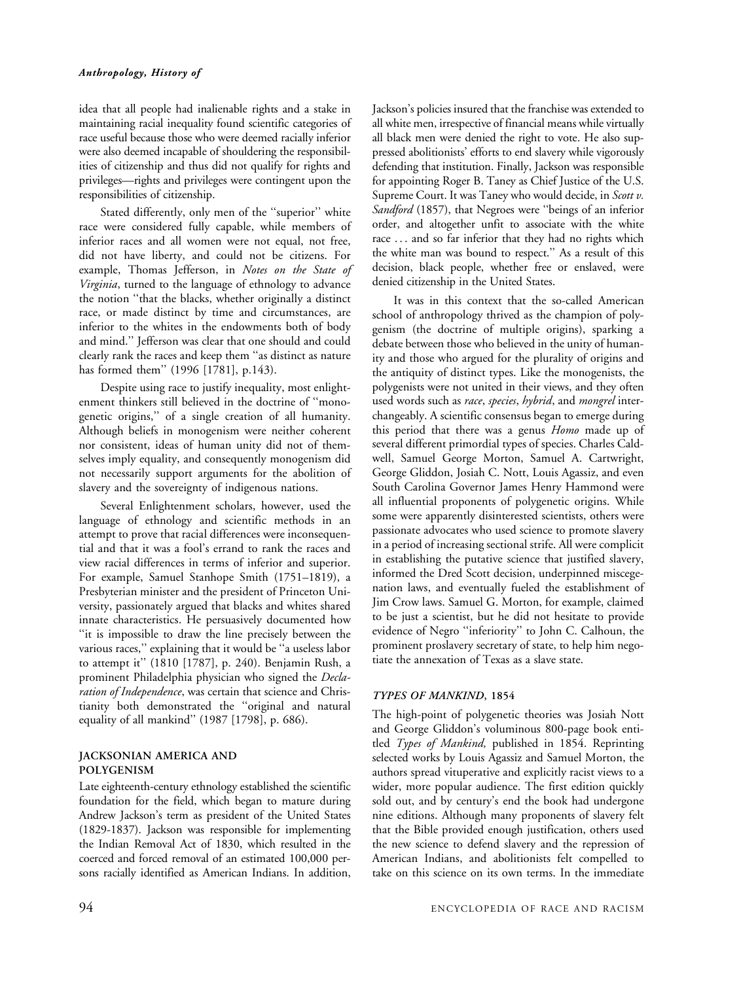idea that all people had inalienable rights and a stake in maintaining racial inequality found scientific categories of race useful because those who were deemed racially inferior were also deemed incapable of shouldering the responsibilities of citizenship and thus did not qualify for rights and privileges—rights and privileges were contingent upon the responsibilities of citizenship.

Stated differently, only men of the ''superior'' white race were considered fully capable, while members of inferior races and all women were not equal, not free, did not have liberty, and could not be citizens. For example, Thomas Jefferson, in Notes on the State of Virginia, turned to the language of ethnology to advance the notion ''that the blacks, whether originally a distinct race, or made distinct by time and circumstances, are inferior to the whites in the endowments both of body and mind.'' Jefferson was clear that one should and could clearly rank the races and keep them ''as distinct as nature has formed them'' (1996 [1781], p.143).

Despite using race to justify inequality, most enlightenment thinkers still believed in the doctrine of ''monogenetic origins,'' of a single creation of all humanity. Although beliefs in monogenism were neither coherent nor consistent, ideas of human unity did not of themselves imply equality, and consequently monogenism did not necessarily support arguments for the abolition of slavery and the sovereignty of indigenous nations.

Several Enlightenment scholars, however, used the language of ethnology and scientific methods in an attempt to prove that racial differences were inconsequential and that it was a fool's errand to rank the races and view racial differences in terms of inferior and superior. For example, Samuel Stanhope Smith (1751–1819), a Presbyterian minister and the president of Princeton University, passionately argued that blacks and whites shared innate characteristics. He persuasively documented how ''it is impossible to draw the line precisely between the various races,'' explaining that it would be ''a useless labor to attempt it'' (1810 [1787], p. 240). Benjamin Rush, a prominent Philadelphia physician who signed the Declaration of Independence, was certain that science and Christianity both demonstrated the ''original and natural equality of all mankind'' (1987 [1798], p. 686).

### JACKSONIAN AMERICA AND POLYGENISM

Late eighteenth-century ethnology established the scientific foundation for the field, which began to mature during Andrew Jackson's term as president of the United States (1829-1837). Jackson was responsible for implementing the Indian Removal Act of 1830, which resulted in the coerced and forced removal of an estimated 100,000 persons racially identified as American Indians. In addition,

Jackson's policies insured that the franchise was extended to all white men, irrespective of financial means while virtually all black men were denied the right to vote. He also suppressed abolitionists' efforts to end slavery while vigorously defending that institution. Finally, Jackson was responsible for appointing Roger B. Taney as Chief Justice of the U.S. Supreme Court. It was Taney who would decide, in Scott v. Sandford (1857), that Negroes were "beings of an inferior order, and altogether unfit to associate with the white race . . . and so far inferior that they had no rights which the white man was bound to respect.'' As a result of this decision, black people, whether free or enslaved, were denied citizenship in the United States.

It was in this context that the so-called American school of anthropology thrived as the champion of polygenism (the doctrine of multiple origins), sparking a debate between those who believed in the unity of humanity and those who argued for the plurality of origins and the antiquity of distinct types. Like the monogenists, the polygenists were not united in their views, and they often used words such as race, species, hybrid, and mongrel interchangeably. A scientific consensus began to emerge during this period that there was a genus *Homo* made up of several different primordial types of species. Charles Caldwell, Samuel George Morton, Samuel A. Cartwright, George Gliddon, Josiah C. Nott, Louis Agassiz, and even South Carolina Governor James Henry Hammond were all influential proponents of polygenetic origins. While some were apparently disinterested scientists, others were passionate advocates who used science to promote slavery in a period of increasing sectional strife. All were complicit in establishing the putative science that justified slavery, informed the Dred Scott decision, underpinned miscegenation laws, and eventually fueled the establishment of Jim Crow laws. Samuel G. Morton, for example, claimed to be just a scientist, but he did not hesitate to provide evidence of Negro ''inferiority'' to John C. Calhoun, the prominent proslavery secretary of state, to help him negotiate the annexation of Texas as a slave state.

### TYPES OF MANKIND, 1854

The high-point of polygenetic theories was Josiah Nott and George Gliddon's voluminous 800-page book entitled Types of Mankind, published in 1854. Reprinting selected works by Louis Agassiz and Samuel Morton, the authors spread vituperative and explicitly racist views to a wider, more popular audience. The first edition quickly sold out, and by century's end the book had undergone nine editions. Although many proponents of slavery felt that the Bible provided enough justification, others used the new science to defend slavery and the repression of American Indians, and abolitionists felt compelled to take on this science on its own terms. In the immediate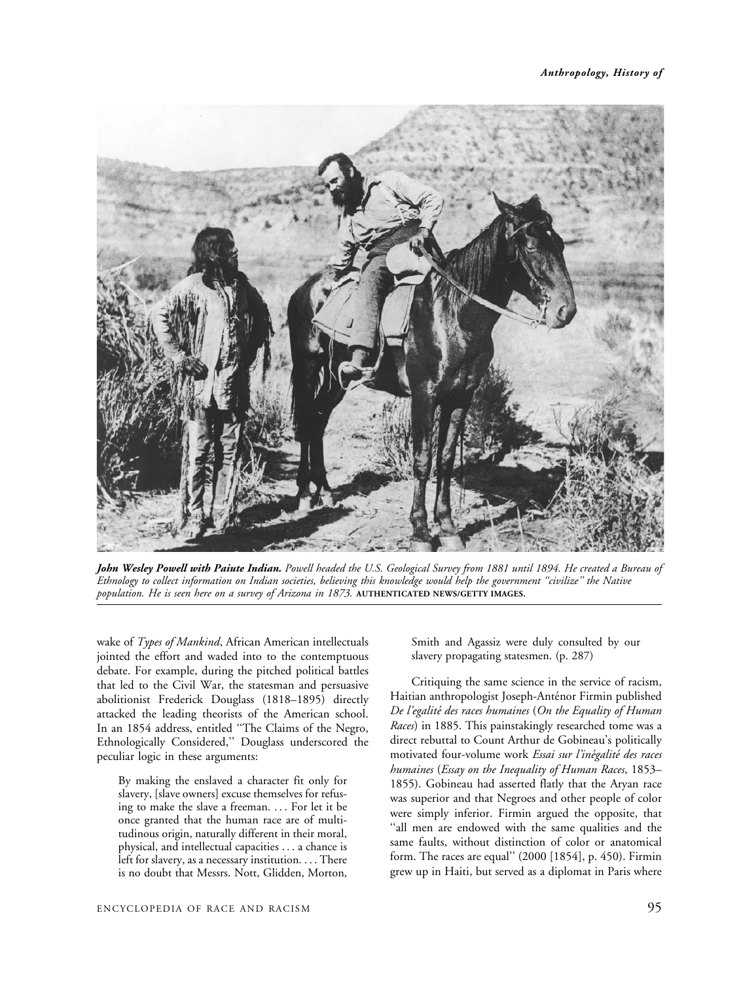

John Wesley Powell with Paiute Indian. Powell headed the U.S. Geological Survey from 1881 until 1894. He created a Bureau of Ethnology to collect information on Indian societies, believing this knowledge would help the government ''civilize'' the Native population. He is seen here on a survey of Arizona in 1873. AUTHENTICATED NEWS/GETTY IMAGES.

wake of Types of Mankind, African American intellectuals jointed the effort and waded into to the contemptuous debate. For example, during the pitched political battles that led to the Civil War, the statesman and persuasive abolitionist Frederick Douglass (1818–1895) directly attacked the leading theorists of the American school. In an 1854 address, entitled ''The Claims of the Negro, Ethnologically Considered,'' Douglass underscored the peculiar logic in these arguments:

By making the enslaved a character fit only for slavery, [slave owners] excuse themselves for refusing to make the slave a freeman. . . . For let it be once granted that the human race are of multitudinous origin, naturally different in their moral, physical, and intellectual capacities . . . a chance is left for slavery, as a necessary institution. . . . There is no doubt that Messrs. Nott, Glidden, Morton, Smith and Agassiz were duly consulted by our slavery propagating statesmen. (p. 287)

Critiquing the same science in the service of racism, Haitian anthropologist Joseph-Anténor Firmin published De l'egalité des races humaines (On the Equality of Human Races) in 1885. This painstakingly researched tome was a direct rebuttal to Count Arthur de Gobineau's politically motivated four-volume work Essai sur l'inégalité des races humaines (Essay on the Inequality of Human Races, 1853– 1855). Gobineau had asserted flatly that the Aryan race was superior and that Negroes and other people of color were simply inferior. Firmin argued the opposite, that ''all men are endowed with the same qualities and the same faults, without distinction of color or anatomical form. The races are equal'' (2000 [1854], p. 450). Firmin grew up in Haiti, but served as a diplomat in Paris where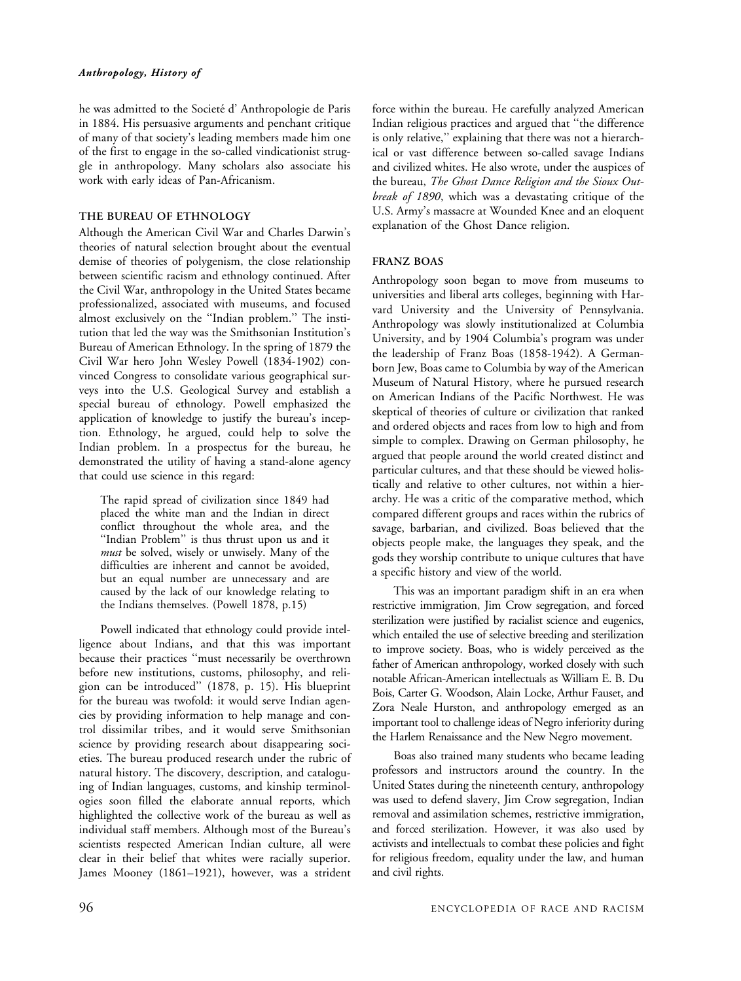he was admitted to the Societé d' Anthropologie de Paris in 1884. His persuasive arguments and penchant critique of many of that society's leading members made him one of the first to engage in the so-called vindicationist struggle in anthropology. Many scholars also associate his work with early ideas of Pan-Africanism.

#### THE BUREAU OF ETHNOLOGY

Although the American Civil War and Charles Darwin's theories of natural selection brought about the eventual demise of theories of polygenism, the close relationship between scientific racism and ethnology continued. After the Civil War, anthropology in the United States became professionalized, associated with museums, and focused almost exclusively on the ''Indian problem.'' The institution that led the way was the Smithsonian Institution's Bureau of American Ethnology. In the spring of 1879 the Civil War hero John Wesley Powell (1834-1902) convinced Congress to consolidate various geographical surveys into the U.S. Geological Survey and establish a special bureau of ethnology. Powell emphasized the application of knowledge to justify the bureau's inception. Ethnology, he argued, could help to solve the Indian problem. In a prospectus for the bureau, he demonstrated the utility of having a stand-alone agency that could use science in this regard:

The rapid spread of civilization since 1849 had placed the white man and the Indian in direct conflict throughout the whole area, and the ''Indian Problem'' is thus thrust upon us and it must be solved, wisely or unwisely. Many of the difficulties are inherent and cannot be avoided, but an equal number are unnecessary and are caused by the lack of our knowledge relating to the Indians themselves. (Powell 1878, p.15)

Powell indicated that ethnology could provide intelligence about Indians, and that this was important because their practices ''must necessarily be overthrown before new institutions, customs, philosophy, and religion can be introduced'' (1878, p. 15). His blueprint for the bureau was twofold: it would serve Indian agencies by providing information to help manage and control dissimilar tribes, and it would serve Smithsonian science by providing research about disappearing societies. The bureau produced research under the rubric of natural history. The discovery, description, and cataloguing of Indian languages, customs, and kinship terminologies soon filled the elaborate annual reports, which highlighted the collective work of the bureau as well as individual staff members. Although most of the Bureau's scientists respected American Indian culture, all were clear in their belief that whites were racially superior. James Mooney (1861–1921), however, was a strident

force within the bureau. He carefully analyzed American Indian religious practices and argued that ''the difference is only relative,'' explaining that there was not a hierarchical or vast difference between so-called savage Indians and civilized whites. He also wrote, under the auspices of the bureau, The Ghost Dance Religion and the Sioux Outbreak of 1890, which was a devastating critique of the U.S. Army's massacre at Wounded Knee and an eloquent explanation of the Ghost Dance religion.

#### FRANZ BOAS

Anthropology soon began to move from museums to universities and liberal arts colleges, beginning with Harvard University and the University of Pennsylvania. Anthropology was slowly institutionalized at Columbia University, and by 1904 Columbia's program was under the leadership of Franz Boas (1858-1942). A Germanborn Jew, Boas came to Columbia by way of the American Museum of Natural History, where he pursued research on American Indians of the Pacific Northwest. He was skeptical of theories of culture or civilization that ranked and ordered objects and races from low to high and from simple to complex. Drawing on German philosophy, he argued that people around the world created distinct and particular cultures, and that these should be viewed holistically and relative to other cultures, not within a hierarchy. He was a critic of the comparative method, which compared different groups and races within the rubrics of savage, barbarian, and civilized. Boas believed that the objects people make, the languages they speak, and the gods they worship contribute to unique cultures that have a specific history and view of the world.

This was an important paradigm shift in an era when restrictive immigration, Jim Crow segregation, and forced sterilization were justified by racialist science and eugenics, which entailed the use of selective breeding and sterilization to improve society. Boas, who is widely perceived as the father of American anthropology, worked closely with such notable African-American intellectuals as William E. B. Du Bois, Carter G. Woodson, Alain Locke, Arthur Fauset, and Zora Neale Hurston, and anthropology emerged as an important tool to challenge ideas of Negro inferiority during the Harlem Renaissance and the New Negro movement.

Boas also trained many students who became leading professors and instructors around the country. In the United States during the nineteenth century, anthropology was used to defend slavery, Jim Crow segregation, Indian removal and assimilation schemes, restrictive immigration, and forced sterilization. However, it was also used by activists and intellectuals to combat these policies and fight for religious freedom, equality under the law, and human and civil rights.